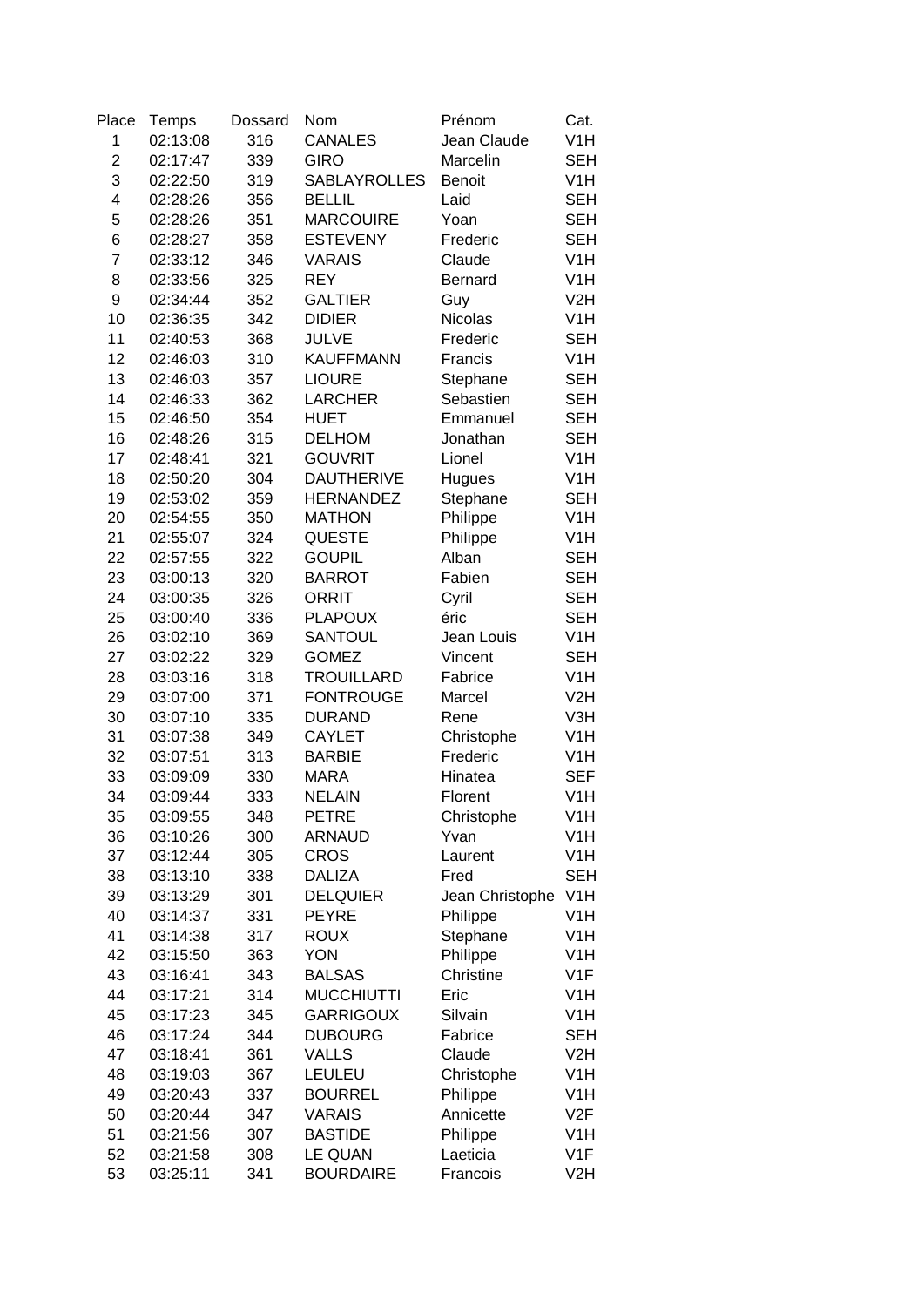| Place          | Temps    | Dossard | Nom                          | Prénom             | Cat.             |
|----------------|----------|---------|------------------------------|--------------------|------------------|
| 1              | 02:13:08 | 316     | <b>CANALES</b>               | Jean Claude        | V <sub>1</sub> H |
| $\overline{2}$ | 02:17:47 | 339     | <b>GIRO</b>                  | Marcelin           | <b>SEH</b>       |
| 3              | 02:22:50 | 319     | <b>SABLAYROLLES</b>          | <b>Benoit</b>      | V <sub>1</sub> H |
| 4              | 02:28:26 | 356     | <b>BELLIL</b>                | Laid               | <b>SEH</b>       |
| 5              | 02:28:26 | 351     | <b>MARCOUIRE</b>             | Yoan               | <b>SEH</b>       |
| 6              | 02:28:27 | 358     | <b>ESTEVENY</b>              | Frederic           | <b>SEH</b>       |
| $\overline{7}$ | 02:33:12 | 346     | <b>VARAIS</b>                | Claude             | V <sub>1</sub> H |
| 8              | 02:33:56 | 325     | <b>REY</b>                   | <b>Bernard</b>     | V <sub>1</sub> H |
| 9              | 02:34:44 | 352     | <b>GALTIER</b>               | Guy                | V <sub>2</sub> H |
| 10             | 02:36:35 | 342     | <b>DIDIER</b>                | <b>Nicolas</b>     | V <sub>1</sub> H |
| 11             | 02:40:53 | 368     | <b>JULVE</b>                 | Frederic           | <b>SEH</b>       |
| 12             | 02:46:03 | 310     | <b>KAUFFMANN</b>             | Francis            | V <sub>1</sub> H |
| 13             | 02:46:03 | 357     | <b>LIOURE</b>                | Stephane           | <b>SEH</b>       |
| 14             | 02:46:33 | 362     | <b>LARCHER</b>               | Sebastien          | <b>SEH</b>       |
| 15             | 02:46:50 | 354     | <b>HUET</b>                  | Emmanuel           | <b>SEH</b>       |
| 16             | 02:48:26 | 315     | <b>DELHOM</b>                | Jonathan           | <b>SEH</b>       |
| 17             | 02:48:41 | 321     | <b>GOUVRIT</b>               | Lionel             | V <sub>1</sub> H |
| 18             | 02:50:20 | 304     | <b>DAUTHERIVE</b>            | Hugues             | V <sub>1</sub> H |
| 19             | 02:53:02 | 359     | <b>HERNANDEZ</b>             | Stephane           | <b>SEH</b>       |
| 20             | 02:54:55 | 350     | <b>MATHON</b>                | Philippe           | V <sub>1</sub> H |
| 21             | 02:55:07 | 324     | QUESTE                       | Philippe           | V <sub>1</sub> H |
| 22             | 02:57:55 | 322     | <b>GOUPIL</b>                | Alban              | <b>SEH</b>       |
| 23             | 03:00:13 | 320     | <b>BARROT</b>                | Fabien             | <b>SEH</b>       |
| 24             | 03:00:35 | 326     | <b>ORRIT</b>                 | Cyril              | <b>SEH</b>       |
| 25             | 03:00:40 | 336     | <b>PLAPOUX</b>               | éric               | <b>SEH</b>       |
| 26             | 03:02:10 | 369     | SANTOUL                      | Jean Louis         | V <sub>1</sub> H |
| 27             | 03:02:22 | 329     | <b>GOMEZ</b>                 | Vincent            | <b>SEH</b>       |
| 28             | 03:03:16 | 318     | <b>TROUILLARD</b>            | Fabrice            | V <sub>1</sub> H |
| 29             | 03:07:00 | 371     | <b>FONTROUGE</b>             | Marcel             | V <sub>2</sub> H |
| 30             | 03:07:10 | 335     | <b>DURAND</b>                | Rene               | V3H              |
| 31             | 03:07:38 | 349     | <b>CAYLET</b>                | Christophe         | V <sub>1</sub> H |
| 32             | 03:07:51 | 313     | <b>BARBIE</b>                | Frederic           | V <sub>1</sub> H |
| 33             | 03:09:09 | 330     | <b>MARA</b>                  | Hinatea            | <b>SEF</b>       |
| 34             | 03:09:44 | 333     | <b>NELAIN</b>                | Florent            | V <sub>1</sub> H |
|                | 03:09:55 | 348     | <b>PETRE</b>                 |                    | V <sub>1</sub> H |
| 35             |          |         |                              | Christophe<br>Yvan |                  |
| 36             | 03:10:26 | 300     | <b>ARNAUD</b><br><b>CROS</b> |                    | V <sub>1</sub> H |
| 37             | 03:12:44 | 305     |                              | Laurent            | V1H              |
| 38             | 03:13:10 | 338     | <b>DALIZA</b>                | Fred               | <b>SEH</b>       |
| 39             | 03:13:29 | 301     | <b>DELQUIER</b>              | Jean Christophe    | V <sub>1</sub> H |
| 40             | 03:14:37 | 331     | <b>PEYRE</b>                 | Philippe           | V <sub>1</sub> H |
| 41             | 03:14:38 | 317     | <b>ROUX</b>                  | Stephane           | V <sub>1</sub> H |
| 42             | 03:15:50 | 363     | <b>YON</b>                   | Philippe           | V <sub>1</sub> H |
| 43             | 03:16:41 | 343     | <b>BALSAS</b>                | Christine          | V1F              |
| 44             | 03:17:21 | 314     | <b>MUCCHIUTTI</b>            | Eric               | V1H              |
| 45             | 03:17:23 | 345     | <b>GARRIGOUX</b>             | Silvain            | V1H              |
| 46             | 03:17:24 | 344     | <b>DUBOURG</b>               | Fabrice            | <b>SEH</b>       |
| 47             | 03:18:41 | 361     | VALLS                        | Claude             | V <sub>2</sub> H |
| 48             | 03:19:03 | 367     | <b>LEULEU</b>                | Christophe         | V1H              |
| 49             | 03:20:43 | 337     | <b>BOURREL</b>               | Philippe           | V <sub>1</sub> H |
| 50             | 03:20:44 | 347     | <b>VARAIS</b>                | Annicette          | V2F              |
| 51             | 03:21:56 | 307     | <b>BASTIDE</b>               | Philippe           | V <sub>1</sub> H |
| 52             | 03:21:58 | 308     | LE QUAN                      | Laeticia           | V1F              |
| 53             | 03:25:11 | 341     | <b>BOURDAIRE</b>             | Francois           | V <sub>2</sub> H |